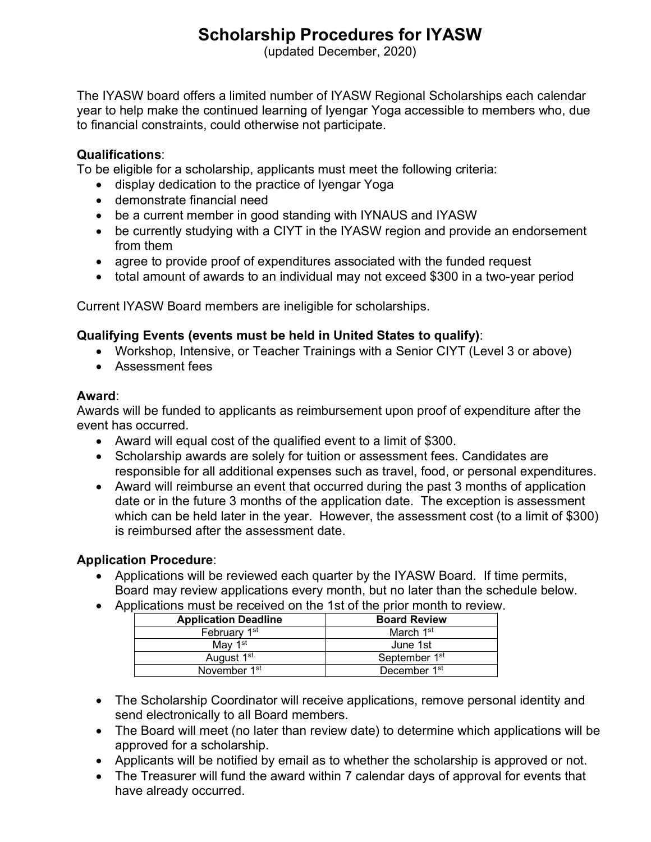# **Scholarship Procedures for IYASW**

(updated December, 2020)

The IYASW board offers a limited number of IYASW Regional Scholarships each calendar year to help make the continued learning of Iyengar Yoga accessible to members who, due to financial constraints, could otherwise not participate.

### **Qualifications**:

To be eligible for a scholarship, applicants must meet the following criteria:

- display dedication to the practice of Iyengar Yoga
- demonstrate financial need
- be a current member in good standing with IYNAUS and IYASW
- be currently studying with a CIYT in the IYASW region and provide an endorsement from them
- agree to provide proof of expenditures associated with the funded request
- total amount of awards to an individual may not exceed \$300 in a two-year period

Current IYASW Board members are ineligible for scholarships.

### **Qualifying Events (events must be held in United States to qualify)**:

- Workshop, Intensive, or Teacher Trainings with a Senior CIYT (Level 3 or above)
- Assessment fees

#### **Award**:

Awards will be funded to applicants as reimbursement upon proof of expenditure after the event has occurred.

- Award will equal cost of the qualified event to a limit of \$300.
- Scholarship awards are solely for tuition or assessment fees. Candidates are responsible for all additional expenses such as travel, food, or personal expenditures.
- Award will reimburse an event that occurred during the past 3 months of application date or in the future 3 months of the application date. The exception is assessment which can be held later in the year. However, the assessment cost (to a limit of \$300) is reimbursed after the assessment date.

## **Application Procedure**:

- Applications will be reviewed each quarter by the IYASW Board. If time permits, Board may review applications every month, but no later than the schedule below.
- Applications must be received on the 1st of the prior month to review.

| <b>Application Deadline</b> | <b>Board Review</b>       |
|-----------------------------|---------------------------|
| February 1 <sup>st</sup>    | March 1 <sup>st</sup>     |
| Mav 1 <sup>st</sup>         | June 1st                  |
| August 1 <sup>st</sup>      | September 1 <sup>st</sup> |
| November 1 <sup>st</sup>    | December 1 <sup>st</sup>  |

- The Scholarship Coordinator will receive applications, remove personal identity and send electronically to all Board members.
- The Board will meet (no later than review date) to determine which applications will be approved for a scholarship.
- Applicants will be notified by email as to whether the scholarship is approved or not.
- The Treasurer will fund the award within 7 calendar days of approval for events that have already occurred.